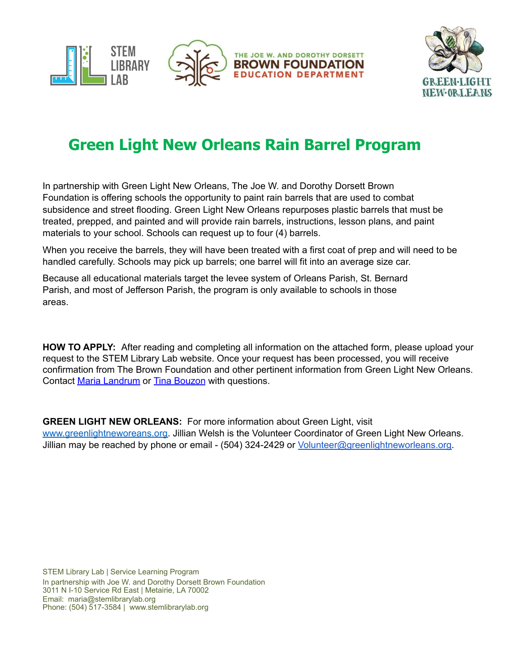



## **Green Light New Orleans Rain Barrel Program**

In partnership with Green Light New Orleans, The Joe W. and Dorothy Dorsett Brown Foundation is offering schools the opportunity to paint rain barrels that are used to combat subsidence and street flooding. Green Light New Orleans repurposes plastic barrels that must be treated, prepped, and painted and will provide rain barrels, instructions, lesson plans, and paint materials to your school. Schools can request up to four (4) barrels.

When you receive the barrels, they will have been treated with a first coat of prep and will need to be handled carefully. Schools may pick up barrels; one barrel will fit into an average size car.

Because all educational materials target the levee system of Orleans Parish, St. Bernard Parish, and most of Jefferson Parish, the program is only available to schools in those areas.

**HOW TO APPLY:** After reading and completing all information on the attached form, please upload your request to the STEM Library Lab website. Once your request has been processed, you will receive confirmation from The Brown Foundation and other pertinent information from Green Light New Orleans. Contact Maria [Landrum](mailto:maria@stemlibrarylab.org) or Tina [Bouzon](mailto:tinabouzon@thebrownfoundation.org) with questions.

**GREEN LIGHT NEW ORLEANS:** For more information about Green Light, visit [www.greenlightneworeans.org.](http://www.greenlightneworeans.org/) Jillian Welsh is the Volunteer Coordinator of Green Light New Orleans. Jillian may be reached by phone or email - (504) 324-2429 or [Volunteer@greenlightneworleans.org.](mailto:Volunteer@greenlightneworleans.org)

STEM Library Lab | Service Learning Program In partnership with Joe W. and Dorothy Dorsett Brown Foundation 3011 N I-10 Service Rd East | Metairie, LA 70002 Email: maria@stemlibrarylab.org Phone: (504) 517-3584 | [www.stemlibrarylab.org](http://www.thebrownfoundation.org/)